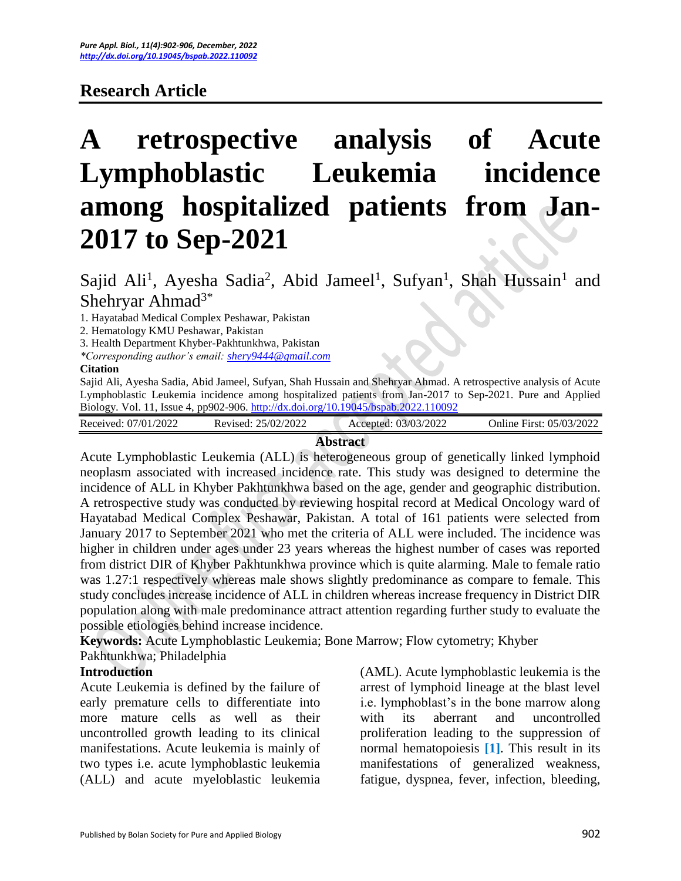# **Research Article**

# **A retrospective analysis of Acute Lymphoblastic Leukemia incidence among hospitalized patients from Jan-2017 to Sep-2021**

# Sajid Ali<sup>1</sup>, Ayesha Sadia<sup>2</sup>, Abid Jameel<sup>1</sup>, Sufyan<sup>1</sup>, Shah Hussain<sup>1</sup> and Shehryar Ahmad<sup>3\*</sup>

1. Hayatabad Medical Complex Peshawar, Pakistan

2. Hematology KMU Peshawar, Pakistan

3. Health Department Khyber-Pakhtunkhwa, Pakistan

*\*Corresponding author's email: [shery9444@gmail.com](mailto:shery9444@gmail.com)* 

#### **Citation**

Sajid Ali, Ayesha Sadia, Abid Jameel, Sufyan, Shah Hussain and Shehryar Ahmad. A retrospective analysis of Acute Lymphoblastic Leukemia incidence among hospitalized patients from Jan-2017 to Sep-2021. Pure and Applied Biology. Vol. 11, Issue 4, pp902-906[. http://dx.doi.org/10.19045/bspab.2022.110092](http://dx.doi.org/10.19045/bspab.2022.110092)

| Received: 07/01/2022 | 25/02/2022<br>Revised: | 03/03/2022<br>Accepted: | First: 05/03/2022<br>Online |
|----------------------|------------------------|-------------------------|-----------------------------|
|                      |                        |                         |                             |

#### **Abstract**

Acute Lymphoblastic Leukemia (ALL) is heterogeneous group of genetically linked lymphoid neoplasm associated with increased incidence rate. This study was designed to determine the incidence of ALL in Khyber Pakhtunkhwa based on the age, gender and geographic distribution. A retrospective study was conducted by reviewing hospital record at Medical Oncology ward of Hayatabad Medical Complex Peshawar, Pakistan. A total of 161 patients were selected from January 2017 to September 2021 who met the criteria of ALL were included. The incidence was higher in children under ages under 23 years whereas the highest number of cases was reported from district DIR of Khyber Pakhtunkhwa province which is quite alarming. Male to female ratio was 1.27:1 respectively whereas male shows slightly predominance as compare to female. This study concludes increase incidence of ALL in children whereas increase frequency in District DIR population along with male predominance attract attention regarding further study to evaluate the possible etiologies behind increase incidence.

**Keywords:** Acute Lymphoblastic Leukemia; Bone Marrow; Flow cytometry; Khyber Pakhtunkhwa; Philadelphia

#### **Introduction**

Acute Leukemia is defined by the failure of early premature cells to differentiate into more mature cells as well as their uncontrolled growth leading to its clinical manifestations. Acute leukemia is mainly of two types i.e. acute lymphoblastic leukemia (ALL) and acute myeloblastic leukemia

(AML). Acute lymphoblastic leukemia is the arrest of lymphoid lineage at the blast level i.e. lymphoblast's in the bone marrow along with its aberrant and uncontrolled proliferation leading to the suppression of normal hematopoiesis **[1]**. This result in its manifestations of generalized weakness, fatigue, dyspnea, fever, infection, bleeding,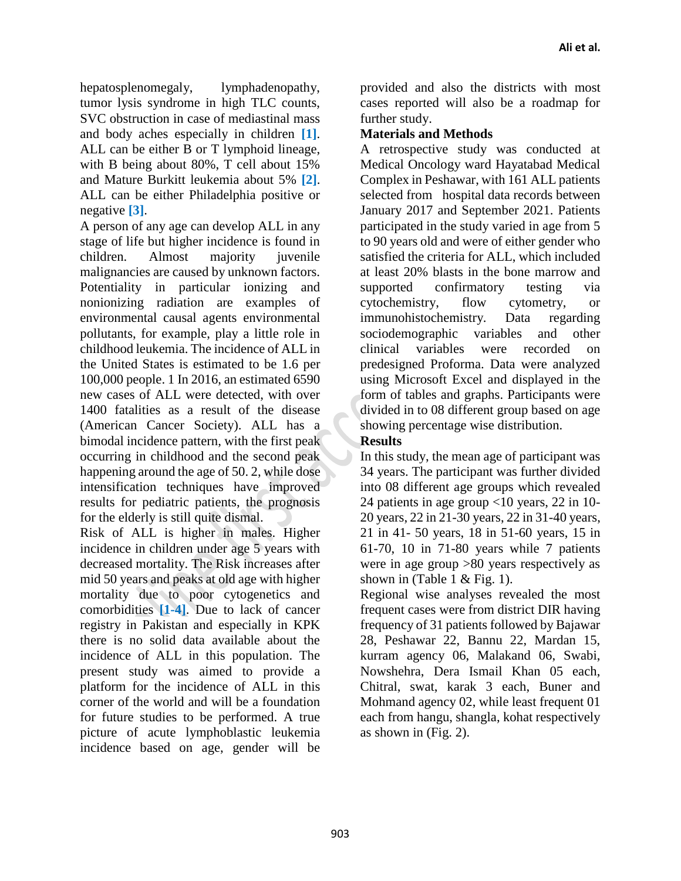hepatosplenomegaly, lymphadenopathy, tumor lysis syndrome in high TLC counts, SVC obstruction in case of mediastinal mass and body aches especially in children **[1]**. ALL can be either B or T lymphoid lineage, with B being about 80%, T cell about 15% and Mature Burkitt leukemia about 5% **[2]**. ALL can be either Philadelphia positive or negative **[3]**.

A person of any age can develop ALL in any stage of life but higher incidence is found in children. Almost majority juvenile malignancies are caused by unknown factors. Potentiality in particular ionizing and nonionizing radiation are examples of environmental causal agents environmental pollutants, for example, play a little role in childhood leukemia. The incidence of ALL in the United States is estimated to be 1.6 per 100,000 people. 1 In 2016, an estimated 6590 new cases of ALL were detected, with over 1400 fatalities as a result of the disease (American Cancer Society). ALL has a bimodal incidence pattern, with the first peak occurring in childhood and the second peak happening around the age of 50. 2, while dose intensification techniques have improved results for pediatric patients, the prognosis for the elderly is still quite dismal.

Risk of ALL is higher in males. Higher incidence in children under age 5 years with decreased mortality. The Risk increases after mid 50 years and peaks at old age with higher mortality due to poor cytogenetics and comorbidities **[1-4]**. Due to lack of cancer registry in Pakistan and especially in KPK there is no solid data available about the incidence of ALL in this population. The present study was aimed to provide a platform for the incidence of ALL in this corner of the world and will be a foundation for future studies to be performed. A true picture of acute lymphoblastic leukemia incidence based on age, gender will be

provided and also the districts with most cases reported will also be a roadmap for further study.

# **Materials and Methods**

A retrospective study was conducted at Medical Oncology ward Hayatabad Medical Complex in Peshawar, with 161 ALL patients selected from hospital data records between January 2017 and September 2021. Patients participated in the study varied in age from 5 to 90 years old and were of either gender who satisfied the criteria for ALL, which included at least 20% blasts in the bone marrow and supported confirmatory testing via cytochemistry, flow cytometry, or immunohistochemistry. Data regarding sociodemographic variables and other clinical variables were recorded on predesigned Proforma. Data were analyzed using Microsoft Excel and displayed in the form of tables and graphs. Participants were divided in to 08 different group based on age showing percentage wise distribution.

# **Results**

In this study, the mean age of participant was 34 years. The participant was further divided into 08 different age groups which revealed 24 patients in age group <10 years, 22 in 10- 20 years, 22 in 21-30 years, 22 in 31-40 years, 21 in 41- 50 years, 18 in 51-60 years, 15 in 61-70, 10 in 71-80 years while 7 patients were in age group >80 years respectively as shown in (Table 1  $&$  Fig. 1).

Regional wise analyses revealed the most frequent cases were from district DIR having frequency of 31 patients followed by Bajawar 28, Peshawar 22, Bannu 22, Mardan 15, kurram agency 06, Malakand 06, Swabi, Nowshehra, Dera Ismail Khan 05 each, Chitral, swat, karak 3 each, Buner and Mohmand agency 02, while least frequent 01 each from hangu, shangla, kohat respectively as shown in (Fig. 2).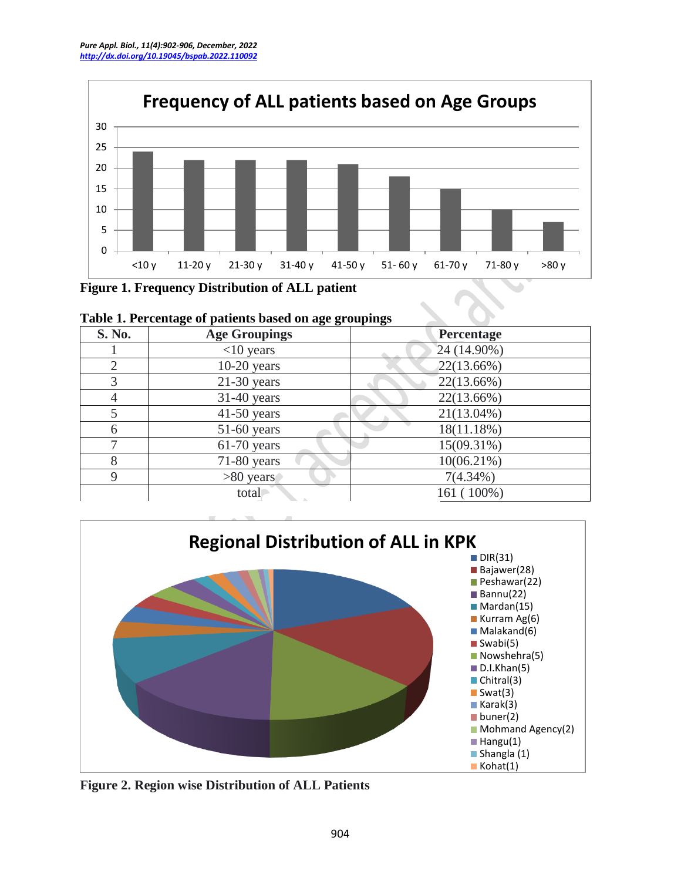

**Figure 1. Frequency Distribution of ALL patient**

| <b>S. No.</b>  | <b>Age Groupings</b> | Percentage    |  |  |
|----------------|----------------------|---------------|--|--|
|                | $<$ 10 years         | $24(14.90\%)$ |  |  |
| $\overline{2}$ | $10-20$ years        | $22(13.66\%)$ |  |  |
| 3              | $21-30$ years        | 22(13.66%)    |  |  |
|                | $31-40$ years        | 22(13.66%)    |  |  |
|                | $41-50$ years        | $21(13.04\%)$ |  |  |
| 6              | $51-60$ years        | 18(11.18%)    |  |  |
|                | $61-70$ years        | 15(09.31%)    |  |  |
| 8              | $71-80$ years        | 10(06.21%)    |  |  |
| $\mathbf Q$    | $>80$ years          | $7(4.34\%)$   |  |  |
|                | total                | 161 (100%)    |  |  |

|  |  | Table 1. Percentage of patients based on age groupings |
|--|--|--------------------------------------------------------|
|  |  |                                                        |



**Figure 2. Region wise Distribution of ALL Patients**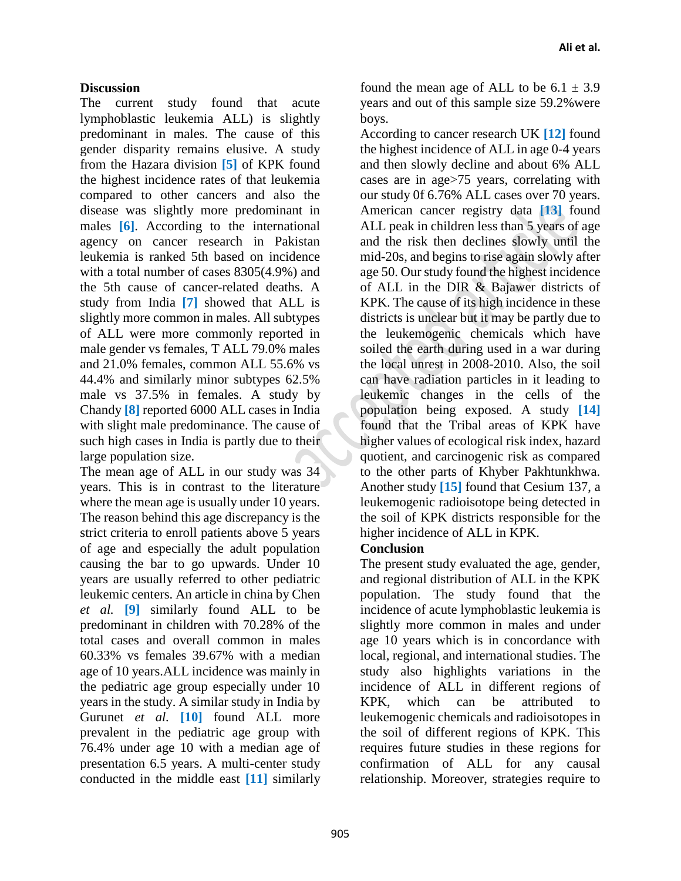### **Discussion**

The current study found that acute lymphoblastic leukemia ALL) is slightly predominant in males. The cause of this gender disparity remains elusive. A study from the Hazara division **[5]** of KPK found the highest incidence rates of that leukemia compared to other cancers and also the disease was slightly more predominant in males **[6]**. According to the international agency on cancer research in Pakistan leukemia is ranked 5th based on incidence with a total number of cases 8305(4.9%) and the 5th cause of cancer-related deaths. A study from India **[7]** showed that ALL is slightly more common in males. All subtypes of ALL were more commonly reported in male gender vs females, T ALL 79.0% males and 21.0% females, common ALL 55.6% vs 44.4% and similarly minor subtypes 62.5% male vs 37.5% in females. A study by Chandy **[8]** reported 6000 ALL cases in India with slight male predominance. The cause of such high cases in India is partly due to their large population size.

The mean age of ALL in our study was 34 years. This is in contrast to the literature where the mean age is usually under 10 years. The reason behind this age discrepancy is the strict criteria to enroll patients above 5 years of age and especially the adult population causing the bar to go upwards. Under 10 years are usually referred to other pediatric leukemic centers. An article in china by Chen *et al.* **[9]** similarly found ALL to be predominant in children with 70.28% of the total cases and overall common in males 60.33% vs females 39.67% with a median age of 10 years.ALL incidence was mainly in the pediatric age group especially under 10 years in the study. A similar study in India by Gurunet *et al.* **[10]** found ALL more prevalent in the pediatric age group with 76.4% under age 10 with a median age of presentation 6.5 years. A multi-center study conducted in the middle east **[11]** similarly

found the mean age of ALL to be  $6.1 \pm 3.9$ years and out of this sample size 59.2%were boys.

According to cancer research UK **[12]** found the highest incidence of ALL in age 0-4 years and then slowly decline and about 6% ALL cases are in age>75 years, correlating with our study 0f 6.76% ALL cases over 70 years. American cancer registry data **[13]** found ALL peak in children less than 5 years of age and the risk then declines slowly until the mid-20s, and begins to rise again slowly after age 50. Our study found the highest incidence of ALL in the DIR & Bajawer districts of KPK. The cause of its high incidence in these districts is unclear but it may be partly due to the leukemogenic chemicals which have soiled the earth during used in a war during the local unrest in 2008-2010. Also, the soil can have radiation particles in it leading to leukemic changes in the cells of the population being exposed. A study **[14]** found that the Tribal areas of KPK have higher values of ecological risk index, hazard quotient, and carcinogenic risk as compared to the other parts of Khyber Pakhtunkhwa. Another study **[15]** found that Cesium 137, a leukemogenic radioisotope being detected in the soil of KPK districts responsible for the higher incidence of ALL in KPK.

## **Conclusion**

The present study evaluated the age, gender, and regional distribution of ALL in the KPK population. The study found that the incidence of acute lymphoblastic leukemia is slightly more common in males and under age 10 years which is in concordance with local, regional, and international studies. The study also highlights variations in the incidence of ALL in different regions of KPK, which can be attributed to leukemogenic chemicals and radioisotopes in the soil of different regions of KPK. This requires future studies in these regions for confirmation of ALL for any causal relationship. Moreover, strategies require to